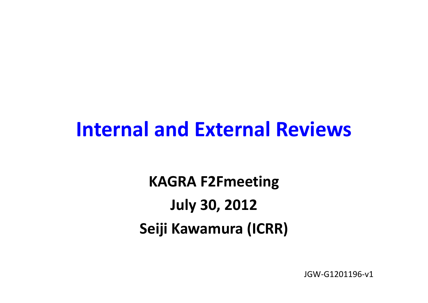### **Internal and External Reviews**

**KAGRA F2Fmeeting July 30, 2012 Seiji Kawamura (ICRR)**

JGW‐G1201196‐v1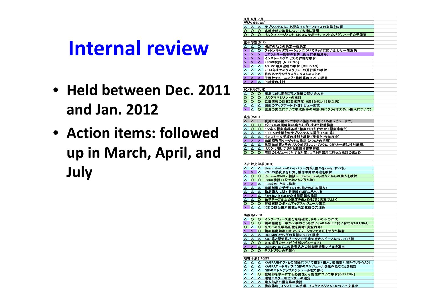## **Internal review**

- **Held between Dec. 2011 and Jan. 2012**
- **Action items: followed up in March, April, and July**

| 3月 4月 7月  |                               |                         |                                                                     |  |  |  |  |  |  |
|-----------|-------------------------------|-------------------------|---------------------------------------------------------------------|--|--|--|--|--|--|
| デジタル(DGS) |                               |                         |                                                                     |  |  |  |  |  |  |
| Δ         | ∣∆                            | $\Delta$                | サブシステムに、必要なインターフェイスの列挙を依頼                                           |  |  |  |  |  |  |
| Ο.        | IO.                           | O.                      | 北部会館の改装について大橋に確認                                                    |  |  |  |  |  |  |
|           |                               |                         | ○  ○  ○  リスクマネージメント;LIGOのサポート、ソフトのバグ、ハードの予備等                        |  |  |  |  |  |  |
| 主干涉計(MIF) |                               |                         |                                                                     |  |  |  |  |  |  |
| Δ         | ▵                             | o                       | MMTのRoCの決定→仮決定                                                      |  |  |  |  |  |  |
| ×         | Δ                             | $\overline{\mathbf{o}}$ | フォトンキャリブレーションについてリックに問い合わせ→未解決                                      |  |  |  |  |  |  |
| ×         | $\boldsymbol{\times}$         | ×                       | ヒエラルキー制御の計算 [山元に依頼済み]                                               |  |  |  |  |  |  |
| ×         | $\pmb{\times}$                | $\pmb{\times}$          | インストールプロセスの詳細な検討                                                    |  |  |  |  |  |  |
| ×         | $\pmb{\times}$                | Δ                       | FSSの検討 [MIF+IOO]                                                    |  |  |  |  |  |  |
| ×         | Δ                             | Δ                       | AS-PO用真空槽の検討 [MIF+VAC]                                              |  |  |  |  |  |  |
| Δ         | Δ                             | Δ                       | 2014年までのタスクリストの遂行順の検討                                               |  |  |  |  |  |  |
| Δ         | Δ                             | Δ                       | 坑内外で行なうタスクのリストのまとめ                                                  |  |  |  |  |  |  |
| ×<br>×    | $\pmb{\times}$<br>$\mathbf x$ | ×<br>Δ.                 | 干渉計チューニング・診断等のソフトの用意                                                |  |  |  |  |  |  |
|           |                               |                         | IPI対策の検討                                                            |  |  |  |  |  |  |
|           | トンネル(TUN)                     |                         |                                                                     |  |  |  |  |  |  |
| Δ         | IО                            | O.                      | 鹿島に対し掘削プラン詳細の問い合わせ                                                  |  |  |  |  |  |  |
| o         | <u>lo</u>                     | <u>o</u>                | リスクマネジメントの検討                                                        |  |  |  |  |  |  |
| O.        | 1O                            | $\circ$                 | 位置情報の計算(要求精度:0度9分52.416秒以内)                                         |  |  |  |  |  |  |
| Δ         | ▵                             | Δ.                      | 図面のアップデート(外部レビューまで)                                                 |  |  |  |  |  |  |
| ×.        | ٰ ∆                           | O.                      | 鹿島の施工について検収条件の用意(特にクライオスタット搬入について)                                  |  |  |  |  |  |  |
|           |                               |                         |                                                                     |  |  |  |  |  |  |
|           | 真空(VAC)                       |                         |                                                                     |  |  |  |  |  |  |
| Δ         | ∣∆                            |                         | --  変更できる箇所/できない箇所の明確化(外部レビューまで)                                    |  |  |  |  |  |  |
| Δ         | $\circ$                       | $\circ$                 | バッフルの傾斜角45度からずらすよう設計検討.                                             |  |  |  |  |  |  |
| Δ<br>Δ    | IО<br>Δ                       | O                       | トンネル掘削座標基準·精度の打ち合わせ (掘削業者と)<br>3D CAD情報を他サブシステムに提供 (AOS等).          |  |  |  |  |  |  |
| Δ         | Δ                             | <u>Δ</u><br>Δ           | インストール手順の検討を継続 (業者と;今年度中).                                          |  |  |  |  |  |  |
| ×         | $\boldsymbol{\mathsf{x}}$     | ×                       | 光軸調整用ターゲットの検討 (AOSとの相談).                                            |  |  |  |  |  |  |
| Δ         | $\Delta$                      | ᅀᆝ                      | 散乱光対策とそのリスク対応についてAOS、CRYと一緒に検討継続                                    |  |  |  |  |  |  |
| Δ         | Δ                             | Δ                       | リスクに関してできる範囲で確率評価.                                                  |  |  |  |  |  |  |
| O.        | $\circ$                       | O.                      | 前回のレビューに対する対応、コスト削減用に行った検討のまとめ                                      |  |  |  |  |  |  |
|           |                               |                         |                                                                     |  |  |  |  |  |  |
|           |                               |                         |                                                                     |  |  |  |  |  |  |
|           |                               |                         | 入出射光学系(IOO)                                                         |  |  |  |  |  |  |
| Δ         | ▵                             | Δ                       | Beam shutterのハイパワー対策(誰かをassignすべき)                                  |  |  |  |  |  |  |
| ×<br>Δ    | $\pmb{\times}$<br>lO          | Δ<br>O.                 | PMCの熱変形を計算、製作以降は外注を検討<br>Ref cavはMIFと相談し、Stable cavity社などからの購入を検討   |  |  |  |  |  |  |
| Δ         | $\circ$                       | $\circ$                 | ISSの検討(1段でよいかどうか等)                                                  |  |  |  |  |  |  |
| ×         | $\boldsymbol{\mathsf{x}}$     | Δ                       | FSSをMIFと共に検討                                                        |  |  |  |  |  |  |
| Δ         | Δ                             | Δ                       | 光軸制御のデザイン(MC前とMMTの両方)                                               |  |  |  |  |  |  |
| Δ         | Δ                             | Δ                       | 物品購入に関する情報をMIFなどと共有                                                 |  |  |  |  |  |  |
| ×         | $\pmb{\times}$                | ▵                       | Faraday isolatorの排熱問題の検討                                            |  |  |  |  |  |  |
| Δ         | Δ                             |                         | 〇  光学テーブル上の配置をまとめる(第0次案でよい)                                         |  |  |  |  |  |  |
| o         | $\circ$                       | O                       | 評価実験のボトムアップスケジュール策定                                                 |  |  |  |  |  |  |
| ×         | Δ                             | Δ                       | ICDの該当箇所確認と未定数値の穴埋め                                                 |  |  |  |  |  |  |
|           |                               |                         |                                                                     |  |  |  |  |  |  |
|           | 防振系(VIS)                      |                         |                                                                     |  |  |  |  |  |  |
| ▵<br>×    | <b>O</b><br>O                 | O.                      | ○  インターフェース部分を明確化、ドキュメントの作成<br>鏡の駆動を十字か×字のどっちがいいのかMIFに問い合わせ(iKAGRA) |  |  |  |  |  |  |
| O 14      |                               |                         | 〇  光てこの光学系配置を再考(真空内外)                                               |  |  |  |  |  |  |
| ?         | ?                             | O.                      | 鏡の駆動効率のキャリブレーションで光圧を使うか検討                                           |  |  |  |  |  |  |
| Δ         | Δ                             | Δ                       | OSEMのフラッグの共振について調査                                                  |  |  |  |  |  |  |
| Δ         | ▵                             | △                       | AOS等と懸架系パーツとの干渉や空きスペースについて相談                                        |  |  |  |  |  |  |
|           | $\triangle$ 10                |                         | ○ 次如項目の仕上げ(外部レビューまで)                                                |  |  |  |  |  |  |
| ×         | ×                             | Δ                       | OSEMや光てこの雑音込みの制御後振動レベルを算出                                           |  |  |  |  |  |  |
| о         | $\circ$                       | O                       | テストプランの明確化                                                          |  |  |  |  |  |  |
|           |                               |                         |                                                                     |  |  |  |  |  |  |
|           | 地物干涉計(GIF)                    |                         |                                                                     |  |  |  |  |  |  |
| Δ         | Δ                             | Δ                       | KAGRA用ダクトとの間隔について検討(搬入、拡幅部)[GIF+TUN+VAC]                            |  |  |  |  |  |  |
| Δ<br>Δ.   | Δ<br>$\Delta$                 | Δ<br>Δ                  | KAGRAロードマップにGIFのスケジュールを組み込むことを検討<br>GIFのボトムアップスケジュールを文書化            |  |  |  |  |  |  |
| <u>Δ</u>  | Δ                             | O                       | 拡幅部を水平にする必要性と可能性について検討[GIF+TUN]                                     |  |  |  |  |  |  |
| Δ         | Δ                             | Δ                       | 環境モニター用センサーの選定                                                      |  |  |  |  |  |  |
| Δ         | Δ                             | Δ                       | 購入部品の置き場の検討                                                         |  |  |  |  |  |  |
| Δ         | Δ                             | Δ                       | 検収体制、インストール手順、リスクマネジメントについて文書化                                      |  |  |  |  |  |  |
|           |                               |                         |                                                                     |  |  |  |  |  |  |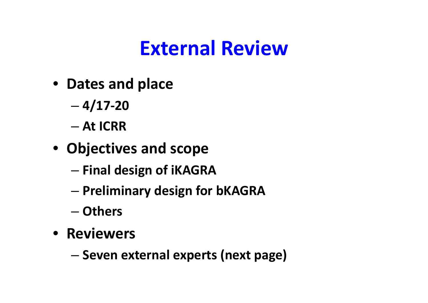## **External Review**

- **Dates and place**
	- **4/17‐20**
	- **At ICRR**
- **Objectives and scope**
	- **Final design of iKAGRA**
	- –**Preliminary design for bKAGRA**
	- **Others**
- **Reviewers**
	- –**Seven external experts (next page)**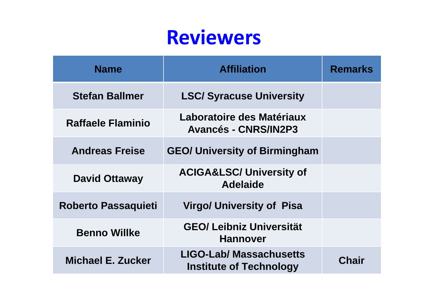### **Reviewers**

| <b>Name</b>                | <b>Affiliation</b>                                               | <b>Remarks</b> |
|----------------------------|------------------------------------------------------------------|----------------|
| <b>Stefan Ballmer</b>      | <b>LSC/ Syracuse University</b>                                  |                |
| <b>Raffaele Flaminio</b>   | Laboratoire des Matériaux<br><b>Avancés - CNRS/IN2P3</b>         |                |
| <b>Andreas Freise</b>      | <b>GEO/ University of Birmingham</b>                             |                |
| <b>David Ottaway</b>       | <b>ACIGA&amp;LSC/ University of</b><br><b>Adelaide</b>           |                |
| <b>Roberto Passaquieti</b> | <b>Virgo/ University of Pisa</b>                                 |                |
| <b>Benno Willke</b>        | <b>GEO/ Leibniz Universität</b><br><b>Hannover</b>               |                |
| Michael E. Zucker          | <b>LIGO-Lab/ Massachusetts</b><br><b>Institute of Technology</b> | Chair          |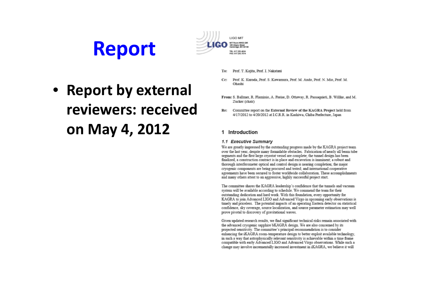



- • **Report by external reviewers: receivedon May 4, 2012**
- To: Prof. T. Kajita, Prof. I. Nakatani
- $Cc$ : Prof. K. Kuroda, Prof. S. Kawamura, Prof. M. Ando, Prof. N. Mio, Prof. M. Ohashi
- From: S. Ballmer, R. Flaminio, A. Freise, D. Ottaway, R. Passaquieti, B. Willke, and M. Zucker (chair)
- Re: Committee report on the External Review of the KAGRA Project held from 4/17/2012 to 4/20/2012 at I.C.R.R. in Kashiwa, Chiba Prefecture, Japan

### 1 Introduction

### 1.1 Executive Summary

We are greatly impressed by the outstanding progress made by the KAGRA project team over the last year, despite many formidable obstacles. Fabrication of nearly all beam tube segments and the first large cryostat vessel are complete; the tunnel design has been finalized, a construction contract is in place and excavation is imminent; a robust and thorough interferometer optical and control design is nearing completion; the major cryogenic components are being procured and tested; and international cooperative agreements have been secured to foster worldwide collaboration. These accomplishments and many others attest to an aggressive, highly successful project start.

The committee shares the KAGRA leadership's confidence that the tunnels and vacuum system will be available according to schedule. We commend the team for their outstanding dedication and hard work. With this foundation, every opportunity for KAGRA to join Advanced LIGO and Advanced Virgo in upcoming early observations is timely and priceless. The potential impacts of an operating Eastern detector on statistical confidence, sky coverage, source localization, and source parameter estimation may well prove pivotal to discovery of gravitational waves.

Given updated research results, we find significant technical risks remain associated with the advanced cryogenic sapphire bKAGRA design. We are also concerned by its projected sensitivity. The committee's principal recommendation is to consider enhancing the iKAGRA room-temperature design to better exploit available technology. in such a way that astrophysically relevant sensitivity is achievable within a time frame compatible with early Advanced LIGO and Advanced Virgo observations. While such a change may involve incrementally increased investment in iKAGRA, we believe it will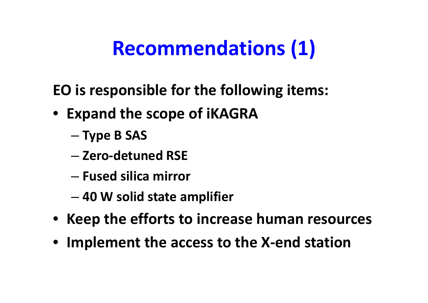# **Recommendations (1)**

**EO is responsible for the following items:**

- **Expand the scope of iKAGRA**
	- –**Type B SAS**
	- **Zero ‐detuned RSE**
	- **Fused silica mirror**
	- **40 W solid state amplifier**
- **Keep the efforts to increase human resources**
- **Implement the access to the X ‐end station**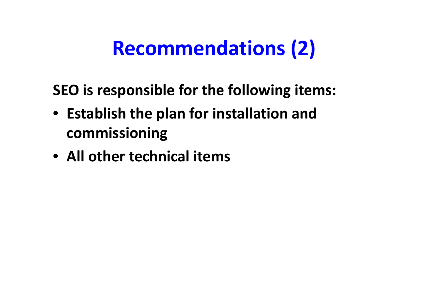## **Recommendations (2)**

**SEO is responsible for the following items:**

- **Establish the plan for installation and commissioning**
- **All other technical items**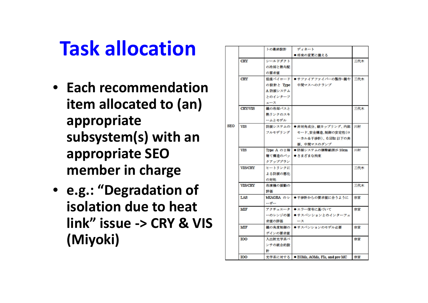## **Task allocation**

- **Each recommendation item allocated to (an) appropriate subsystem(s) with an appropriate SEO member in charge**
- **e.g.: "Degradation of isolation due to heat link" issue ‐> CRY & VIS (Miyoki)**

|     |                    | トの最終設計     | ディネート                              |     |
|-----|--------------------|------------|------------------------------------|-----|
|     |                    |            | ● 将来の変更に備える                        |     |
|     | <b>CRY</b>         | シールドダクト    |                                    | 三代木 |
|     |                    | の冷却と熱勾配    |                                    |     |
|     |                    | の要求値       |                                    |     |
|     | <b>CRY</b>         |            | 低温ペイロード ●サファイアファイバーの製作・鏡や          | 三代木 |
|     |                    | の設計と Type  | 中間マスへのクランプ                         |     |
|     |                    | A 防振システム   |                                    |     |
|     |                    | とのインターフ    |                                    |     |
|     |                    | エース        |                                    |     |
|     | <b>CRY/VIS</b>     | 鏡の冷却パスと    |                                    | 三代木 |
|     |                    | 熱リンクのスキ    |                                    |     |
|     |                    | ームとモデル     |                                    |     |
| SEO | <b>VIS</b>         | 防振システムの    | ●非対角成分、縦カップリング、内部                  | 川村  |
|     |                    | フルモデリング    | モード、安全構造、制御の安定性(ロ                  |     |
|     |                    |            | ーカル&干渉計)、0.5Hz 以下の共                |     |
|     |                    |            | 振、中間マスのダンプ                         |     |
|     | VIS                | Type A の2階 | ●防振システムの調整範囲が 10cm                 | 川村  |
|     |                    | 建て構造のパッ    | ● さまざまな拘束                          |     |
|     |                    | クアッププラン    |                                    |     |
|     | <b>VIS/CRY</b>     | ヒートリンクに    |                                    | 三代木 |
|     |                    | よる防振の悪化    |                                    |     |
|     |                    | の対処        |                                    |     |
|     | <b>VIS/CRY</b>     | 冷凍機の振動の    |                                    | 三代木 |
|     |                    | 評価         |                                    |     |
|     | LAS                | bKAGRA のレー | ●干渉計からの要求値に合うように                   | 宗宮  |
|     |                    | ーザー        |                                    |     |
|     | MIF                |            | アクチュエータ●エラー信号に基づいて                 | 宗宮  |
|     |                    | ーのレンジの要    | ●サスペンションとのインターフェ                   |     |
|     |                    | 求値の評価      | ース                                 |     |
|     | MIF                | 鏡の角度制御の    | ●サスペンションのモデル必要                     | 宗宮  |
|     |                    | ゲインの要求値    |                                    |     |
|     | <b>IOO</b>         | 入出射光学系ベ    |                                    | 宗宮  |
|     |                    | ンチの統合的設    |                                    |     |
|     |                    | 計          |                                    |     |
|     | $\mathsf{I}\Omega$ |            | 半学系に対する ● FOMe AOMe FIe and nra-MC | 盘赏  |